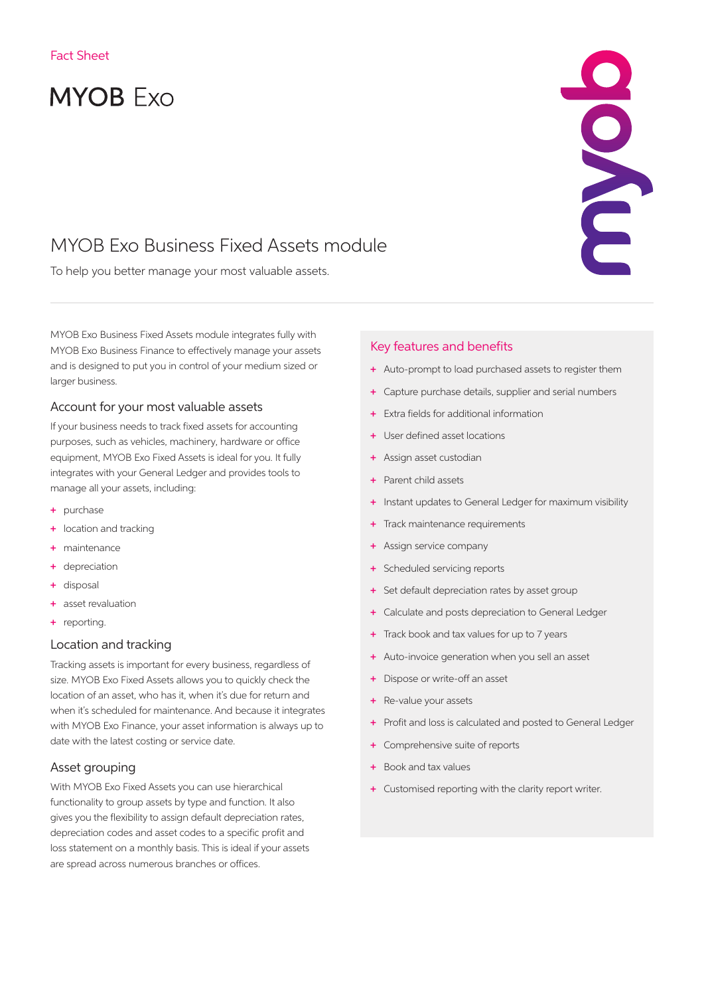# **MYOB Exo**

## MYOB Exo Business Fixed Assets module

To help you better manage your most valuable assets.

MYOB Exo Business Fixed Assets module integrates fully with MYOB Exo Business Finance to effectively manage your assets and is designed to put you in control of your medium sized or larger business.

#### Account for your most valuable assets

If your business needs to track fixed assets for accounting purposes, such as vehicles, machinery, hardware or office equipment, MYOB Exo Fixed Assets is ideal for you. It fully integrates with your General Ledger and provides tools to manage all your assets, including:

- + purchase
- + location and tracking
- + maintenance
- + depreciation
- + disposal
- + asset revaluation
- + reporting.

#### Location and tracking

Tracking assets is important for every business, regardless of size. MYOB Exo Fixed Assets allows you to quickly check the location of an asset, who has it, when it's due for return and when it's scheduled for maintenance. And because it integrates with MYOB Exo Finance, your asset information is always up to date with the latest costing or service date.

#### Asset grouping

With MYOB Exo Fixed Assets you can use hierarchical functionality to group assets by type and function. It also gives you the flexibility to assign default depreciation rates, depreciation codes and asset codes to a specific profit and loss statement on a monthly basis. This is ideal if your assets are spread across numerous branches or offices.

#### Key features and benefits

+ Auto-prompt to load purchased assets to register them

CONCL

- + Capture purchase details, supplier and serial numbers
- + Extra fields for additional information
- User defined asset locations
- + Assign asset custodian
- Parent child assets
- + Instant updates to General Ledger for maximum visibility
- + Track maintenance requirements
- + Assign service company
- + Scheduled servicing reports
- + Set default depreciation rates by asset group
- + Calculate and posts depreciation to General Ledger
- + Track book and tax values for up to 7 years
- + Auto-invoice generation when you sell an asset
- + Dispose or write-off an asset
- + Re-value your assets
- + Profit and loss is calculated and posted to General Ledger
- + Comprehensive suite of reports
- + Book and tax values
- + Customised reporting with the clarity report writer.